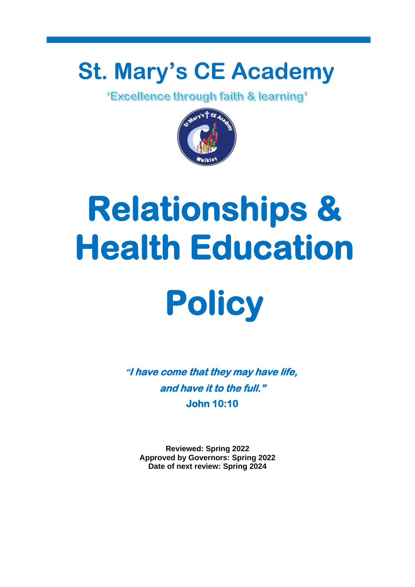## **St. Mary's CE Academy**<br>Excellence through faith & learning'



# **Relationships & Health Education**



**"I have come that they may have life, and have it to the full." John 10:10** 

**Reviewed: Spring 2022 Approved by Governors: Spring 2022 Date of next review: Spring 2024**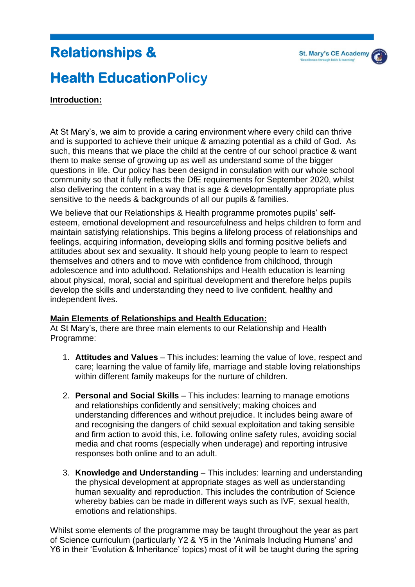## **Relationships &**

## **Health EducationPolicy**

#### **Introduction:**

At St Mary's, we aim to provide a caring environment where every child can thrive and is supported to achieve their unique & amazing potential as a child of God. As such, this means that we place the child at the centre of our school practice & want them to make sense of growing up as well as understand some of the bigger questions in life. Our policy has been designd in consulation with our whole school community so that it fully reflects the DfE requirements for September 2020, whilst also delivering the content in a way that is age & developmentally appropriate plus sensitive to the needs & backgrounds of all our pupils & families.

We believe that our Relationships & Health programme promotes pupils' selfesteem, emotional development and resourcefulness and helps children to form and maintain satisfying relationships. This begins a lifelong process of relationships and feelings, acquiring information, developing skills and forming positive beliefs and attitudes about sex and sexuality. It should help young people to learn to respect themselves and others and to move with confidence from childhood, through adolescence and into adulthood. Relationships and Health education is learning about physical, moral, social and spiritual development and therefore helps pupils develop the skills and understanding they need to live confident, healthy and independent lives.

#### **Main Elements of Relationships and Health Education:**

At St Mary's, there are three main elements to our Relationship and Health Programme:

- 1. **Attitudes and Values**  This includes: learning the value of love, respect and care; learning the value of family life, marriage and stable loving relationships within different family makeups for the nurture of children.
- 2. **Personal and Social Skills**  This includes: learning to manage emotions and relationships confidently and sensitively; making choices and understanding differences and without prejudice. It includes being aware of and recognising the dangers of child sexual exploitation and taking sensible and firm action to avoid this, i.e. following online safety rules, avoiding social media and chat rooms (especially when underage) and reporting intrusive responses both online and to an adult.
- 3. **Knowledge and Understanding**  This includes: learning and understanding the physical development at appropriate stages as well as understanding human sexuality and reproduction. This includes the contribution of Science whereby babies can be made in different ways such as IVF, sexual health, emotions and relationships.

Whilst some elements of the programme may be taught throughout the year as part of Science curriculum (particularly Y2 & Y5 in the 'Animals Including Humans' and Y6 in their 'Evolution & Inheritance' topics) most of it will be taught during the spring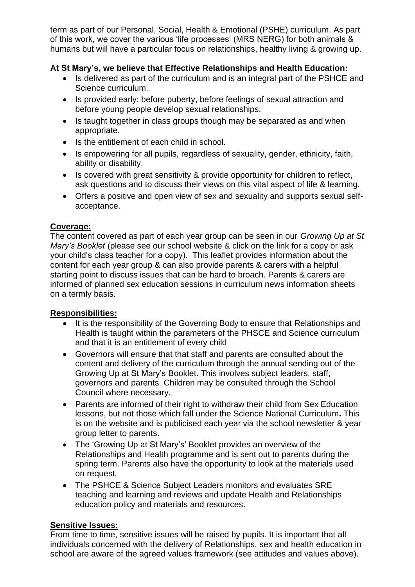term as part of our Personal, Social, Health & Emotional (PSHE) curriculum. As part of this work, we cover the various 'life processes' (MRS NERG) for both animals & humans but will have a particular focus on relationships, healthy living & growing up.

#### **At St Mary's, we believe that Effective Relationships and Health Education:**

- Is delivered as part of the curriculum and is an integral part of the PSHCE and Science curriculum.
- Is provided early: before puberty, before feelings of sexual attraction and before young people develop sexual relationships.
- Is taught together in class groups though may be separated as and when appropriate.
- Is the entitlement of each child in school.
- Is empowering for all pupils, regardless of sexuality, gender, ethnicity, faith, ability or disability.
- Is covered with great sensitivity & provide opportunity for children to reflect, ask questions and to discuss their views on this vital aspect of life & learning.
- Offers a positive and open view of sex and sexuality and supports sexual selfacceptance.

#### **Coverage:**

The content covered as part of each year group can be seen in our*Growing Up at St Mary's Booklet* (please see our school website & click on the link for a copy or ask your child's class teacher for a copy). This leaflet provides information about the content for each year group & can also provide parents & carers with a helpful starting point to discuss issues that can be hard to broach. Parents & carers are informed of planned sex education sessions in curriculum news information sheets on a termly basis.

#### **Responsibilities:**

- It is the responsibility of the Governing Body to ensure that Relationships and Health is taught within the parameters of the PHSCE and Science curriculum and that it is an entitlement of every child
- Governors will ensure that that staff and parents are consulted about the content and delivery of the curriculum through the annual sending out of the Growing Up at St Mary's Booklet. This involves subject leaders, staff, governors and parents. Children may be consulted through the School Council where necessary.
- Parents are informed of their right to withdraw their child from Sex Education lessons, but not those which fall under the Science National Curriculum**.** This is on the website and is publicised each year via the school newsletter & year group letter to parents.
- The 'Growing Up at St Mary's' Booklet provides an overview of the Relationships and Health programme and is sent out to parents during the spring term. Parents also have the opportunity to look at the materials used on request.
- The PSHCE & Science Subject Leaders monitors and evaluates SRE teaching and learning and reviews and update Health and Relationships education policy and materials and resources.

#### **Sensitive Issues:**

From time to time, sensitive issues will be raised by pupils. It is important that all individuals concerned with the delivery of Relationships, sex and health education in school are aware of the agreed values framework (see attitudes and values above).